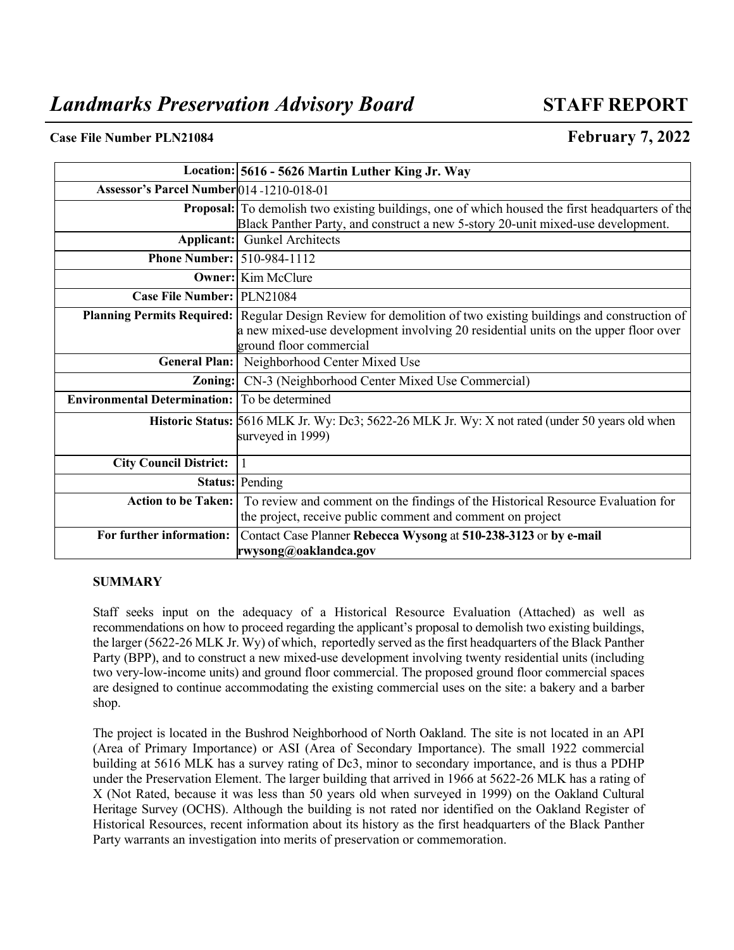## **Case File Number PLN21084 February 7, 2022**

|                                                      | Location: 5616 - 5626 Martin Luther King Jr. Way                                                                                                                                                                                      |  |
|------------------------------------------------------|---------------------------------------------------------------------------------------------------------------------------------------------------------------------------------------------------------------------------------------|--|
| <b>Assessor's Parcel Number</b> 014-1210-018-01      |                                                                                                                                                                                                                                       |  |
|                                                      | <b>Proposal:</b> To demolish two existing buildings, one of which housed the first headquarters of the<br>Black Panther Party, and construct a new 5-story 20-unit mixed-use development.                                             |  |
|                                                      | <b>Applicant:</b> Gunkel Architects                                                                                                                                                                                                   |  |
| <b>Phone Number: 510-984-1112</b>                    |                                                                                                                                                                                                                                       |  |
|                                                      | <b>Owner:</b> Kim McClure                                                                                                                                                                                                             |  |
| Case File Number: PLN21084                           |                                                                                                                                                                                                                                       |  |
|                                                      | <b>Planning Permits Required:</b> Regular Design Review for demolition of two existing buildings and construction of<br>a new mixed-use development involving 20 residential units on the upper floor over<br>ground floor commercial |  |
|                                                      | General Plan: Neighborhood Center Mixed Use                                                                                                                                                                                           |  |
|                                                      | <b>Zoning:</b> CN-3 (Neighborhood Center Mixed Use Commercial)                                                                                                                                                                        |  |
| <b>Environmental Determination:</b> To be determined |                                                                                                                                                                                                                                       |  |
|                                                      | Historic Status: 5616 MLK Jr. Wy: Dc3; 5622-26 MLK Jr. Wy: X not rated (under 50 years old when<br>surveyed in 1999)                                                                                                                  |  |
| <b>City Council District:</b>                        |                                                                                                                                                                                                                                       |  |
|                                                      | Status: Pending                                                                                                                                                                                                                       |  |
|                                                      | Action to be Taken: To review and comment on the findings of the Historical Resource Evaluation for<br>the project, receive public comment and comment on project                                                                     |  |
| For further information:                             | Contact Case Planner Rebecca Wysong at 510-238-3123 or by e-mail<br>rwysong@oaklandca.gov                                                                                                                                             |  |

#### **SUMMARY**

Staff seeks input on the adequacy of a Historical Resource Evaluation (Attached) as well as recommendations on how to proceed regarding the applicant's proposal to demolish two existing buildings, the larger (5622-26 MLK Jr. Wy) of which, reportedly served as the first headquarters of the Black Panther Party (BPP), and to construct a new mixed-use development involving twenty residential units (including two very-low-income units) and ground floor commercial. The proposed ground floor commercial spaces are designed to continue accommodating the existing commercial uses on the site: a bakery and a barber shop.

The project is located in the Bushrod Neighborhood of North Oakland. The site is not located in an API (Area of Primary Importance) or ASI (Area of Secondary Importance). The small 1922 commercial building at 5616 MLK has a survey rating of Dc3, minor to secondary importance, and is thus a PDHP under the Preservation Element. The larger building that arrived in 1966 at 5622-26 MLK has a rating of X (Not Rated, because it was less than 50 years old when surveyed in 1999) on the Oakland Cultural Heritage Survey (OCHS). Although the building is not rated nor identified on the Oakland Register of Historical Resources, recent information about its history as the first headquarters of the Black Panther Party warrants an investigation into merits of preservation or commemoration.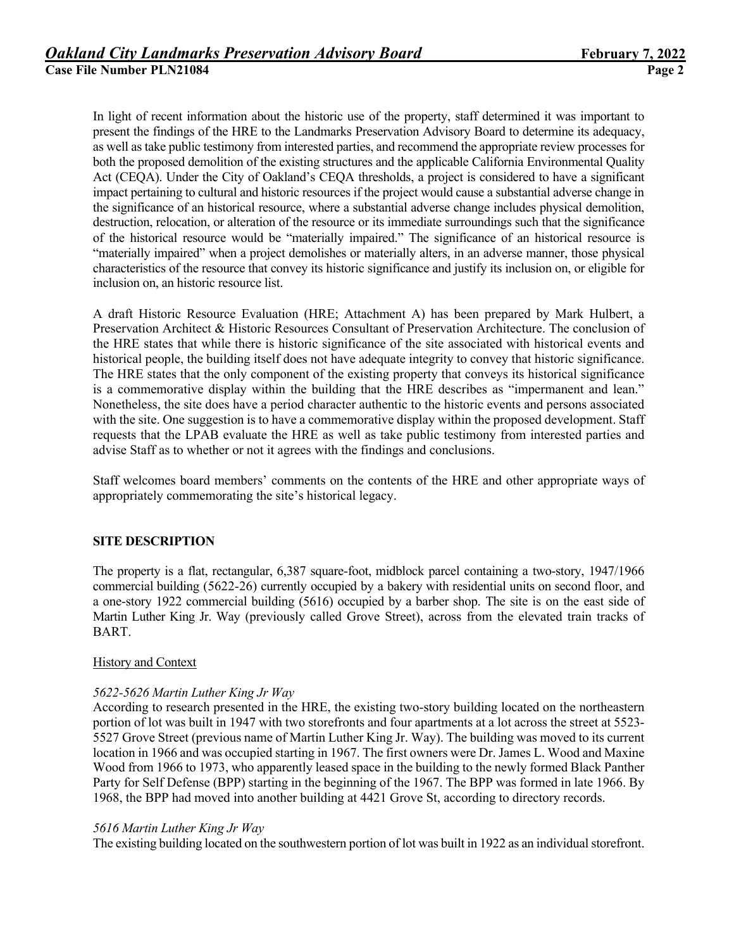In light of recent information about the historic use of the property, staff determined it was important to present the findings of the HRE to the Landmarks Preservation Advisory Board to determine its adequacy, as well as take public testimony from interested parties, and recommend the appropriate review processes for both the proposed demolition of the existing structures and the applicable California Environmental Quality Act (CEQA). Under the City of Oakland's CEQA thresholds, a project is considered to have a significant impact pertaining to cultural and historic resources if the project would cause a substantial adverse change in the significance of an historical resource, where a substantial adverse change includes physical demolition, destruction, relocation, or alteration of the resource or its immediate surroundings such that the significance of the historical resource would be "materially impaired." The significance of an historical resource is "materially impaired" when a project demolishes or materially alters, in an adverse manner, those physical characteristics of the resource that convey its historic significance and justify its inclusion on, or eligible for inclusion on, an historic resource list.

A draft Historic Resource Evaluation (HRE; Attachment A) has been prepared by Mark Hulbert, a Preservation Architect & Historic Resources Consultant of Preservation Architecture. The conclusion of the HRE states that while there is historic significance of the site associated with historical events and historical people, the building itself does not have adequate integrity to convey that historic significance. The HRE states that the only component of the existing property that conveys its historical significance is a commemorative display within the building that the HRE describes as "impermanent and lean." Nonetheless, the site does have a period character authentic to the historic events and persons associated with the site. One suggestion is to have a commemorative display within the proposed development. Staff requests that the LPAB evaluate the HRE as well as take public testimony from interested parties and advise Staff as to whether or not it agrees with the findings and conclusions.

Staff welcomes board members' comments on the contents of the HRE and other appropriate ways of appropriately commemorating the site's historical legacy.

## **SITE DESCRIPTION**

The property is a flat, rectangular, 6,387 square-foot, midblock parcel containing a two-story, 1947/1966 commercial building (5622-26) currently occupied by a bakery with residential units on second floor, and a one-story 1922 commercial building (5616) occupied by a barber shop. The site is on the east side of Martin Luther King Jr. Way (previously called Grove Street), across from the elevated train tracks of BART.

## History and Context

## *5622-5626 Martin Luther King Jr Way*

According to research presented in the HRE, the existing two-story building located on the northeastern portion of lot was built in 1947 with two storefronts and four apartments at a lot across the street at 5523- 5527 Grove Street (previous name of Martin Luther King Jr. Way). The building was moved to its current location in 1966 and was occupied starting in 1967. The first owners were Dr. James L. Wood and Maxine Wood from 1966 to 1973, who apparently leased space in the building to the newly formed Black Panther Party for Self Defense (BPP) starting in the beginning of the 1967. The BPP was formed in late 1966. By 1968, the BPP had moved into another building at 4421 Grove St, according to directory records.

## *5616 Martin Luther King Jr Way*

The existing building located on the southwestern portion of lot was built in 1922 as an individual storefront.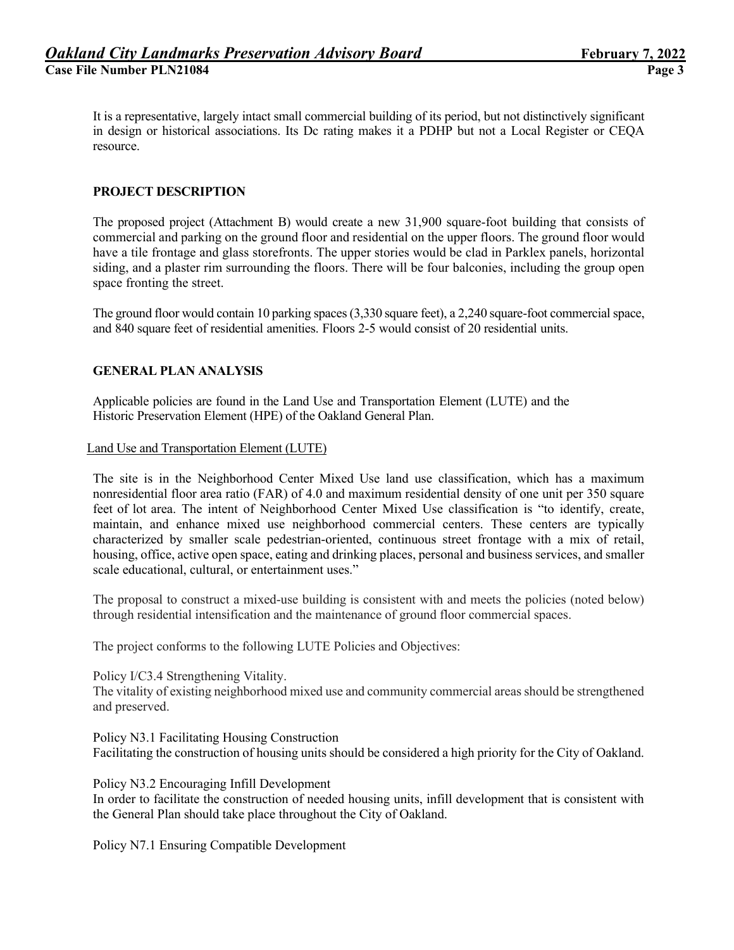It is a representative, largely intact small commercial building of its period, but not distinctively significant in design or historical associations. Its Dc rating makes it a PDHP but not a Local Register or CEQA resource.

# **PROJECT DESCRIPTION**

The proposed project (Attachment B) would create a new 31,900 square-foot building that consists of commercial and parking on the ground floor and residential on the upper floors. The ground floor would have a tile frontage and glass storefronts. The upper stories would be clad in Parklex panels, horizontal siding, and a plaster rim surrounding the floors. There will be four balconies, including the group open space fronting the street.

The ground floor would contain 10 parking spaces(3,330 square feet), a 2,240 square-foot commercial space, and 840 square feet of residential amenities. Floors 2-5 would consist of 20 residential units.

## **GENERAL PLAN ANALYSIS**

Applicable policies are found in the Land Use and Transportation Element (LUTE) and the Historic Preservation Element (HPE) of the Oakland General Plan.

Land Use and Transportation Element (LUTE)

The site is in the Neighborhood Center Mixed Use land use classification, which has a maximum nonresidential floor area ratio (FAR) of 4.0 and maximum residential density of one unit per 350 square feet of lot area. The intent of Neighborhood Center Mixed Use classification is "to identify, create, maintain, and enhance mixed use neighborhood commercial centers. These centers are typically characterized by smaller scale pedestrian-oriented, continuous street frontage with a mix of retail, housing, office, active open space, eating and drinking places, personal and business services, and smaller scale educational, cultural, or entertainment uses."

The proposal to construct a mixed-use building is consistent with and meets the policies (noted below) through residential intensification and the maintenance of ground floor commercial spaces.

The project conforms to the following LUTE Policies and Objectives:

Policy I/C3.4 Strengthening Vitality.

The vitality of existing neighborhood mixed use and community commercial areas should be strengthened and preserved.

Policy N3.1 Facilitating Housing Construction Facilitating the construction of housing units should be considered a high priority for the City of Oakland.

Policy N3.2 Encouraging Infill Development

In order to facilitate the construction of needed housing units, infill development that is consistent with the General Plan should take place throughout the City of Oakland.

Policy N7.1 Ensuring Compatible Development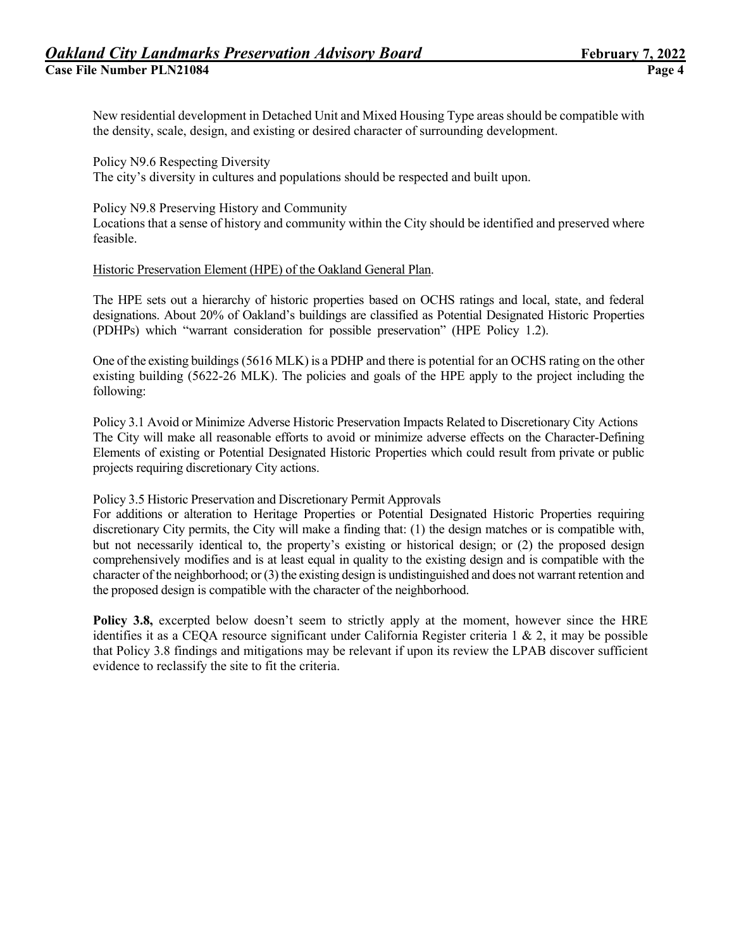New residential development in Detached Unit and Mixed Housing Type areas should be compatible with the density, scale, design, and existing or desired character of surrounding development.

Policy N9.6 Respecting Diversity The city's diversity in cultures and populations should be respected and built upon.

#### Policy N9.8 Preserving History and Community

Locations that a sense of history and community within the City should be identified and preserved where feasible.

#### Historic Preservation Element (HPE) of the Oakland General Plan.

The HPE sets out a hierarchy of historic properties based on OCHS ratings and local, state, and federal designations. About 20% of Oakland's buildings are classified as Potential Designated Historic Properties (PDHPs) which "warrant consideration for possible preservation" (HPE Policy 1.2).

One of the existing buildings (5616 MLK) is a PDHP and there is potential for an OCHS rating on the other existing building (5622-26 MLK). The policies and goals of the HPE apply to the project including the following:

Policy 3.1 Avoid or Minimize Adverse Historic Preservation Impacts Related to Discretionary City Actions The City will make all reasonable efforts to avoid or minimize adverse effects on the Character-Defining Elements of existing or Potential Designated Historic Properties which could result from private or public projects requiring discretionary City actions.

## Policy 3.5 Historic Preservation and Discretionary Permit Approvals

For additions or alteration to Heritage Properties or Potential Designated Historic Properties requiring discretionary City permits, the City will make a finding that: (1) the design matches or is compatible with, but not necessarily identical to, the property's existing or historical design; or (2) the proposed design comprehensively modifies and is at least equal in quality to the existing design and is compatible with the character of the neighborhood; or (3) the existing design is undistinguished and does not warrant retention and the proposed design is compatible with the character of the neighborhood.

Policy 3.8, excerpted below doesn't seem to strictly apply at the moment, however since the HRE identifies it as a CEOA resource significant under California Register criteria  $1 \& 2$ , it may be possible that Policy 3.8 findings and mitigations may be relevant if upon its review the LPAB discover sufficient evidence to reclassify the site to fit the criteria.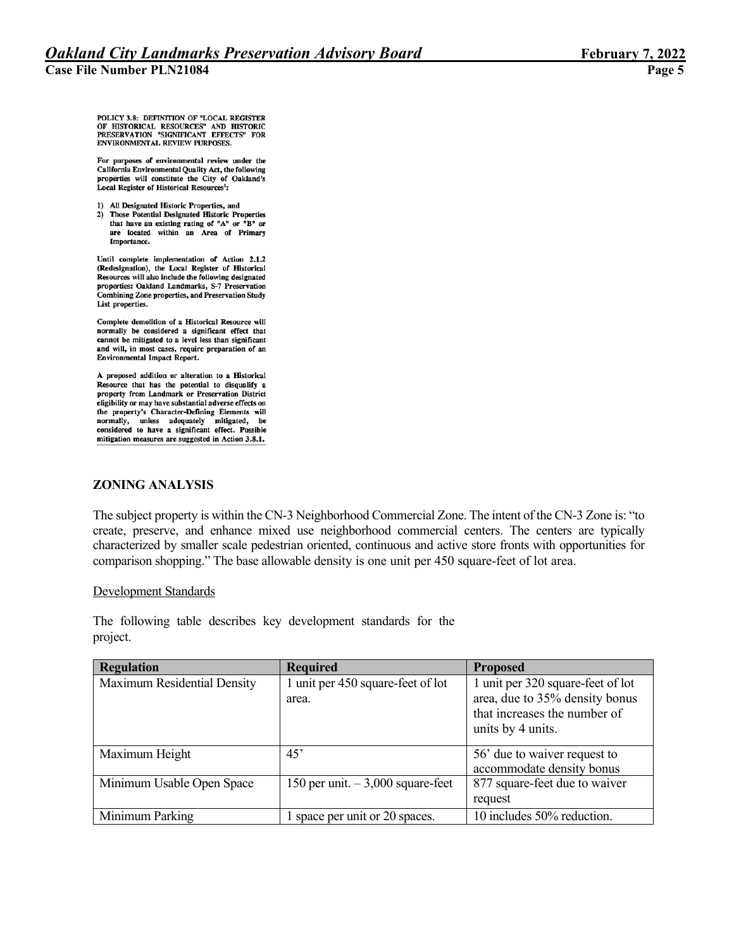POLICY 3.8: DEFINITION OF "LOCAL REGISTER OF HISTORICAL RESOURCES" AND HISTORIC<br>PRESERVATION "SIGNIFICANT EFFECTS" FOR ENVIRONMENTAL REVIEW PURPOSES.

For purposes of environmental review under the California Environmental Quality Act, the following properties will constitute the City of Oakland's Local Register of Historical Resources<sup>1</sup>:

- 1) All Designated Historic Properties, and
- 2) Those Potential Designated Historic Properties that have an existing rating of "A" or "B" or are located within an Area of Primary Importance.

Until complete implementation of Action 2.1.2 (Redesignation), the Local Register of Historical Resources will also include the following designated properties: Oakland Landmarks, S-7 Preservation Combining Zone properties, and Preservation Study List properties.

Complete demolition of a Historical Resource will normally be considered a significant effect that<br>cannot be mitigated to a level less than significant and will, in most cases, require preparation of an **Environmental Impact Report.** 

A proposed addition or alteration to a Historical Resource that has the potential to disqualify a property from Landmark or Preservation District eligibility or may have substantial adverse effects on the property's Character-Defining Elements will normally, unless adequately mitigated, be considered to have a significant effect. Possible mitigation measures are suggested in Action 3.8.1.

## **ZONING ANALYSIS**

The subject property is within the CN-3 Neighborhood Commercial Zone. The intent of the CN-3 Zone is: "to create, preserve, and enhance mixed use neighborhood commercial centers. The centers are typically characterized by smaller scale pedestrian oriented, continuous and active store fronts with opportunities for comparison shopping." The base allowable density is one unit per 450 square-feet of lot area.

#### Development Standards

The following table describes key development standards for the project.

| <b>Regulation</b>           | <b>Required</b>                    | <b>Proposed</b>                   |
|-----------------------------|------------------------------------|-----------------------------------|
| Maximum Residential Density | 1 unit per 450 square-feet of lot  | 1 unit per 320 square-feet of lot |
|                             | area.                              | area, due to 35% density bonus    |
|                             |                                    | that increases the number of      |
|                             |                                    | units by 4 units.                 |
|                             |                                    |                                   |
| Maximum Height              | 45'                                | 56' due to waiver request to      |
|                             |                                    | accommodate density bonus         |
| Minimum Usable Open Space   | 150 per unit. $-3,000$ square-feet | 877 square-feet due to waiver     |
|                             |                                    | request                           |
| Minimum Parking             | space per unit or 20 spaces.       | 10 includes 50% reduction.        |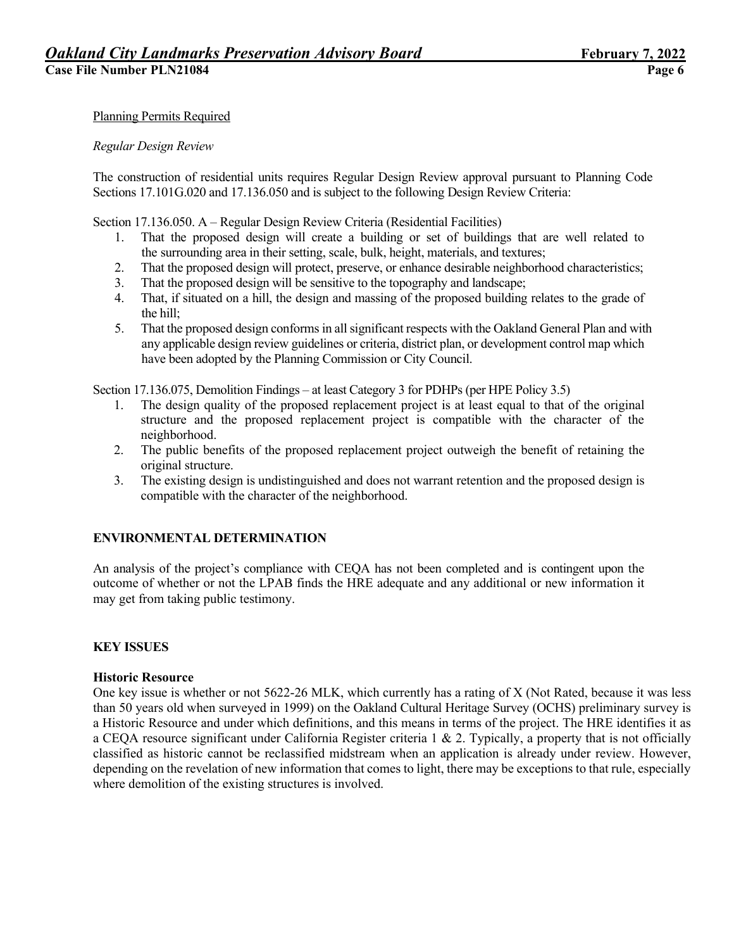## Planning Permits Required

#### *Regular Design Review*

The construction of residential units requires Regular Design Review approval pursuant to Planning Code Sections 17.101G.020 and 17.136.050 and is subject to the following Design Review Criteria:

Section 17.136.050. A – Regular Design Review Criteria (Residential Facilities)

- 1. That the proposed design will create a building or set of buildings that are well related to the surrounding area in their setting, scale, bulk, height, materials, and textures;
- 2. That the proposed design will protect, preserve, or enhance desirable neighborhood characteristics;
- 3. That the proposed design will be sensitive to the topography and landscape;
- 4. That, if situated on a hill, the design and massing of the proposed building relates to the grade of the hill;
- 5. That the proposed design conforms in all significant respects with the Oakland General Plan and with any applicable design review guidelines or criteria, district plan, or development control map which have been adopted by the Planning Commission or City Council.

Section 17.136.075, Demolition Findings – at least Category 3 for PDHPs (per HPE Policy 3.5)

- 1. The design quality of the proposed replacement project is at least equal to that of the original structure and the proposed replacement project is compatible with the character of the neighborhood.
- 2. The public benefits of the proposed replacement project outweigh the benefit of retaining the original structure.
- 3. The existing design is undistinguished and does not warrant retention and the proposed design is compatible with the character of the neighborhood.

## **ENVIRONMENTAL DETERMINATION**

An analysis of the project's compliance with CEQA has not been completed and is contingent upon the outcome of whether or not the LPAB finds the HRE adequate and any additional or new information it may get from taking public testimony.

## **KEY ISSUES**

#### **Historic Resource**

One key issue is whether or not 5622-26 MLK, which currently has a rating of X (Not Rated, because it was less than 50 years old when surveyed in 1999) on the Oakland Cultural Heritage Survey (OCHS) preliminary survey is a Historic Resource and under which definitions, and this means in terms of the project. The HRE identifies it as a CEQA resource significant under California Register criteria 1 & 2. Typically, a property that is not officially classified as historic cannot be reclassified midstream when an application is already under review. However, depending on the revelation of new information that comes to light, there may be exceptions to that rule, especially where demolition of the existing structures is involved.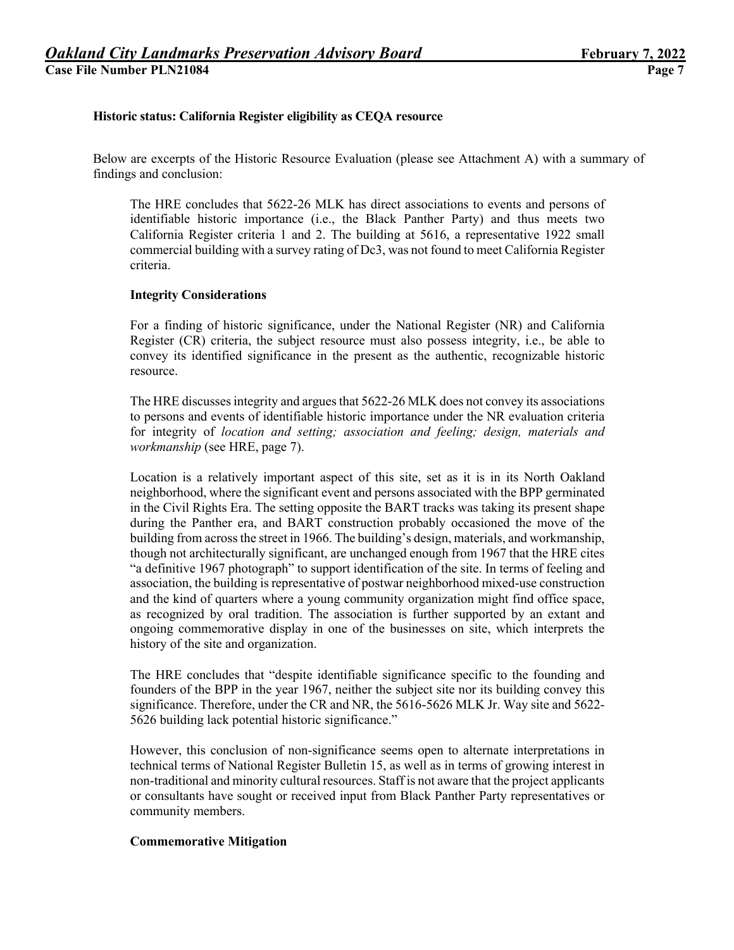## **Historic status: California Register eligibility as CEQA resource**

Below are excerpts of the Historic Resource Evaluation (please see Attachment A) with a summary of findings and conclusion:

The HRE concludes that 5622-26 MLK has direct associations to events and persons of identifiable historic importance (i.e., the Black Panther Party) and thus meets two California Register criteria 1 and 2. The building at 5616, a representative 1922 small commercial building with a survey rating of Dc3, was not found to meet California Register criteria.

#### **Integrity Considerations**

For a finding of historic significance, under the National Register (NR) and California Register (CR) criteria, the subject resource must also possess integrity, i.e., be able to convey its identified significance in the present as the authentic, recognizable historic resource.

The HRE discusses integrity and argues that 5622-26 MLK does not convey its associations to persons and events of identifiable historic importance under the NR evaluation criteria for integrity of *location and setting; association and feeling; design, materials and workmanship* (see HRE, page 7).

Location is a relatively important aspect of this site, set as it is in its North Oakland neighborhood, where the significant event and persons associated with the BPP germinated in the Civil Rights Era. The setting opposite the BART tracks was taking its present shape during the Panther era, and BART construction probably occasioned the move of the building from across the street in 1966. The building's design, materials, and workmanship, though not architecturally significant, are unchanged enough from 1967 that the HRE cites "a definitive 1967 photograph" to support identification of the site. In terms of feeling and association, the building isrepresentative of postwar neighborhood mixed-use construction and the kind of quarters where a young community organization might find office space, as recognized by oral tradition. The association is further supported by an extant and ongoing commemorative display in one of the businesses on site, which interprets the history of the site and organization.

The HRE concludes that "despite identifiable significance specific to the founding and founders of the BPP in the year 1967, neither the subject site nor its building convey this significance. Therefore, under the CR and NR, the 5616-5626 MLK Jr. Way site and 5622- 5626 building lack potential historic significance."

However, this conclusion of non-significance seems open to alternate interpretations in technical terms of National Register Bulletin 15, as well as in terms of growing interest in non-traditional and minority cultural resources. Staff is not aware that the project applicants or consultants have sought or received input from Black Panther Party representatives or community members.

## **Commemorative Mitigation**